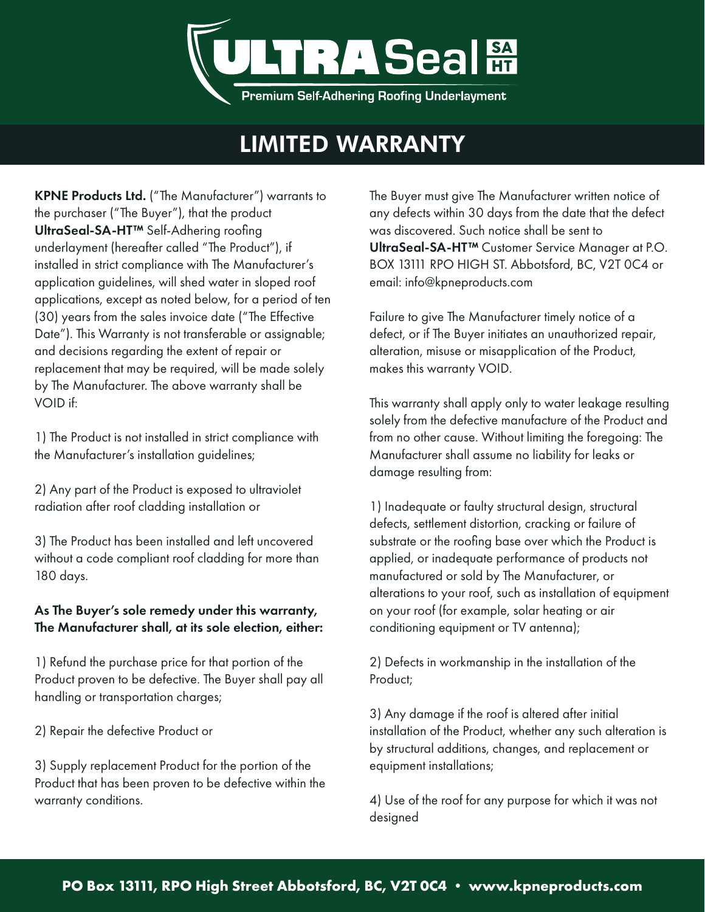

## LIMITED WARRANTY

KPNE Products Ltd. ("The Manufacturer") warrants to the purchaser ("The Buyer"), that the product UltraSeal-SA-HT™ Self-Adhering roofing underlayment (hereafter called "The Product"), if installed in strict compliance with The Manufacturer's application guidelines, will shed water in sloped roof applications, except as noted below, for a period of ten (30) years from the sales invoice date ("The Effective Date"). This Warranty is not transferable or assignable; and decisions regarding the extent of repair or replacement that may be required, will be made solely by The Manufacturer. The above warranty shall be VOID if:

1) The Product is not installed in strict compliance with the Manufacturer's installation guidelines;

2) Any part of the Product is exposed to ultraviolet radiation after roof cladding installation or

3) The Product has been installed and left uncovered without a code compliant roof cladding for more than 180 days.

### As The Buyer's sole remedy under this warranty, The Manufacturer shall, at its sole election, either:

1) Refund the purchase price for that portion of the Product proven to be defective. The Buyer shall pay all handling or transportation charges;

2) Repair the defective Product or

3) Supply replacement Product for the portion of the Product that has been proven to be defective within the warranty conditions.

The Buyer must give The Manufacturer written notice of any defects within 30 days from the date that the defect was discovered. Such notice shall be sent to UltraSeal-SA-HT™ Customer Service Manager at P.O. BOX 13111 RPO HIGH ST. Abbotsford, BC, V2T 0C4 or email: info@kpneproducts.com

Failure to give The Manufacturer timely notice of a defect, or if The Buyer initiates an unauthorized repair, alteration, misuse or misapplication of the Product, makes this warranty VOID.

This warranty shall apply only to water leakage resulting solely from the defective manufacture of the Product and from no other cause. Without limiting the foregoing: The Manufacturer shall assume no liability for leaks or damage resulting from:

1) Inadequate or faulty structural design, structural defects, settlement distortion, cracking or failure of substrate or the roofing base over which the Product is applied, or inadequate performance of products not manufactured or sold by The Manufacturer, or alterations to your roof, such as installation of equipment on your roof (for example, solar heating or air conditioning equipment or TV antenna);

2) Defects in workmanship in the installation of the Product;

3) Any damage if the roof is altered after initial installation of the Product, whether any such alteration is by structural additions, changes, and replacement or equipment installations;

4) Use of the roof for any purpose for which it was not designed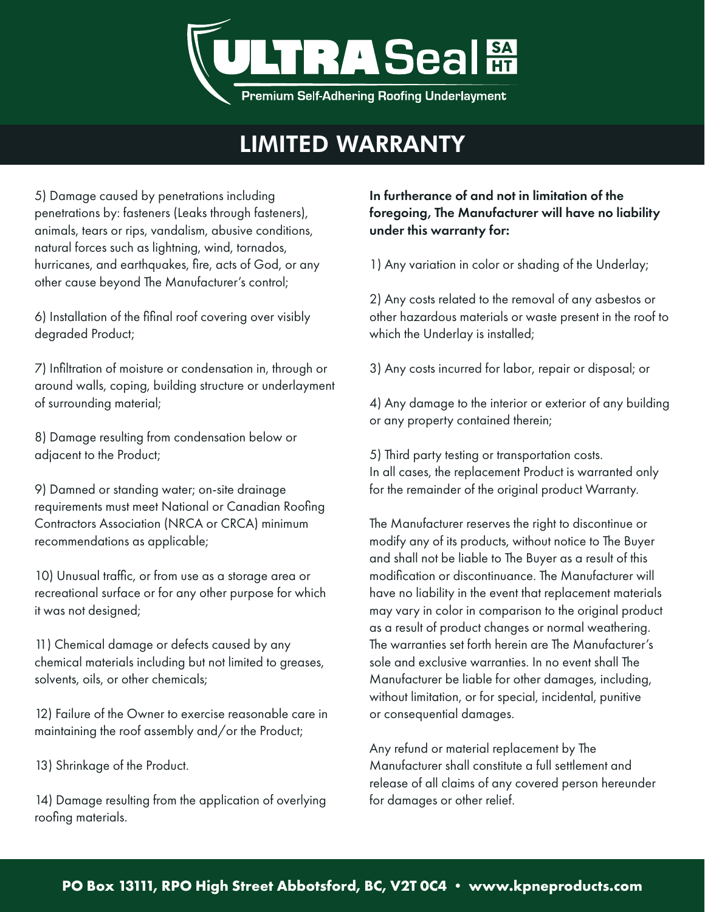

## LIMITED WARRANTY

5) Damage caused by penetrations including penetrations by: fasteners (Leaks through fasteners), animals, tears or rips, vandalism, abusive conditions, natural forces such as lightning, wind, tornados, hurricanes, and earthquakes, fire, acts of God, or any other cause beyond The Manufacturer's control;

6) Installation of the fifinal roof covering over visibly degraded Product;

7) Infiltration of moisture or condensation in, through or around walls, coping, building structure or underlayment of surrounding material;

8) Damage resulting from condensation below or adjacent to the Product;

9) Damned or standing water; on-site drainage requirements must meet National or Canadian Roofing Contractors Association (NRCA or CRCA) minimum recommendations as applicable;

10) Unusual traffic, or from use as a storage area or recreational surface or for any other purpose for which it was not designed;

11) Chemical damage or defects caused by any chemical materials including but not limited to greases, solvents, oils, or other chemicals;

12) Failure of the Owner to exercise reasonable care in maintaining the roof assembly and/or the Product;

13) Shrinkage of the Product.

14) Damage resulting from the application of overlying roofing materials.

### In furtherance of and not in limitation of the foregoing, The Manufacturer will have no liability under this warranty for:

1) Any variation in color or shading of the Underlay;

2) Any costs related to the removal of any asbestos or other hazardous materials or waste present in the roof to which the Underlay is installed;

3) Any costs incurred for labor, repair or disposal; or

4) Any damage to the interior or exterior of any building or any property contained therein;

5) Third party testing or transportation costs. In all cases, the replacement Product is warranted only for the remainder of the original product Warranty.

The Manufacturer reserves the right to discontinue or modify any of its products, without notice to The Buyer and shall not be liable to The Buyer as a result of this modification or discontinuance. The Manufacturer will have no liability in the event that replacement materials may vary in color in comparison to the original product as a result of product changes or normal weathering. The warranties set forth herein are The Manufacturer's sole and exclusive warranties. In no event shall The Manufacturer be liable for other damages, including, without limitation, or for special, incidental, punitive or consequential damages.

Any refund or material replacement by The Manufacturer shall constitute a full settlement and release of all claims of any covered person hereunder for damages or other relief.